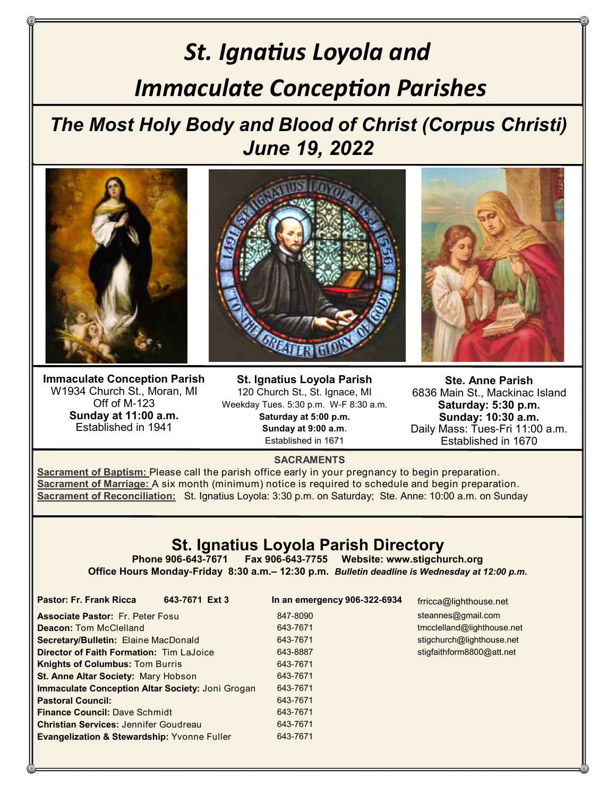# *St. Ignatius Loyola and Immaculate Conception Parishes*

*The Most Holy Body and Blood of Christ (Corpus Christi) June 19, 2022*



**Immaculate Conception Parish** W1934 Church St., Moran, MI Off of M-123 **Sunday at 11:00 a.m.** Established in 1941

**St. Ignatius Loyola Parish** 120 Church St., St. Ignace, MI Weekday Tues. 5:30 p.m. W-F 8:30 a.m. **Saturday at 5:00 p.m. Sunday at 9:00 a.m.** Established in 1671

**Ste. Anne Parish** 6836 Main St., Mackinac Island **Saturday: 5:30 p.m. Sunday: 10:30 a.m.** Daily Mass: Tues-Fri 11:00 a.m. Established in 1670

#### **SACRAMENTS**

**Sacrament of Baptism:** Please call the parish office early in your pregnancy to begin preparation. **Sacrament of Marriage:** A six month (minimum) notice is required to schedule and begin preparation. **Sacrament of Reconciliation:** St. Ignatius Loyola: 3:30 p.m. on Saturday; Ste. Anne: 10:00 a.m. on Sunday

### **St. Ignatius Loyola Parish Directory**

**Phone 906-643-7671 Fax 906-643-7755 Website: www.stigchurch.org Office Hours Monday-Friday 8:30 a.m.– 12:30 p.m.** *Bulletin deadline is Wednesday at 12:00 p.m.*

> 847-8090 643-7671 643-7671 643-8887 643-7671 643-7671 643-7671 643-7671 643-7671 643-7671 643-7671

**Pastor: Fr. Frank Ricca 643-7671 Ext 3 In an emergency 906-322-6934** 

frricca@lighthouse.net steannes@gmail.com tmcclelland@lighthouse.net stigchurch@lighthouse.net stigfaithform8800@att.net

| <b>Associate Pastor: Fr. Peter Fosul</b>                |
|---------------------------------------------------------|
| <b>Deacon: Tom McClelland</b>                           |
| <b>Secretary/Bulletin: Elaine MacDonald</b>             |
| <b>Director of Faith Formation: Tim LaJoice</b>         |
| <b>Knights of Columbus: Tom Burris</b>                  |
| <b>St. Anne Altar Society: Mary Hobson</b>              |
| <b>Immaculate Conception Altar Society: Joni Grogan</b> |
| <b>Pastoral Council:</b>                                |
| <b>Finance Council: Dave Schmidt</b>                    |
| <b>Christian Services: Jennifer Goudreau</b>            |
| <b>Evangelization &amp; Stewardship: Yvonne Fuller</b>  |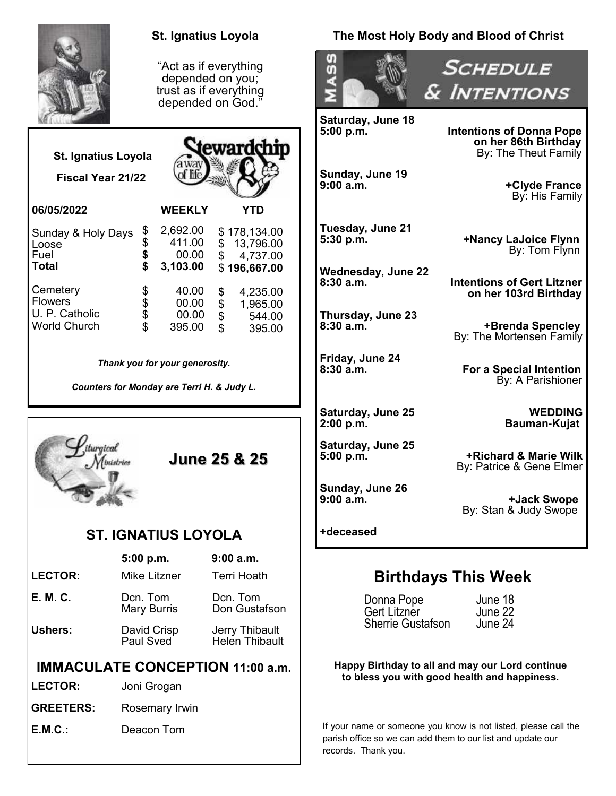|                                                                              | <b>St. Ignatius Loyola</b>                                     |                                                                                                 | The Most Holy Body and Blood of Christ                                                                                                                |                                                                                 |
|------------------------------------------------------------------------------|----------------------------------------------------------------|-------------------------------------------------------------------------------------------------|-------------------------------------------------------------------------------------------------------------------------------------------------------|---------------------------------------------------------------------------------|
|                                                                              |                                                                | "Act as if everything<br>depended on you;<br>trust as if everything<br>depended on God."        | $\ddot{\mathbf{0}}$                                                                                                                                   | <b>SCHEDULE</b><br>& INTENTIONS                                                 |
| <b>St. Ignatius Loyola</b>                                                   |                                                                | <b>tewardchip</b>                                                                               | <b>Saturday, June 18</b><br>5:00 p.m.                                                                                                                 | <b>Intentions of Donna Pope</b><br>on her 86th Birthday<br>By: The Theut Family |
| Fiscal Year 21/22                                                            | away                                                           |                                                                                                 | Sunday, June 19<br>9:00 a.m.                                                                                                                          | +Clyde France<br>By: His Family                                                 |
| 06/05/2022<br>Sunday & Holy Days<br>Loose<br>Fuel                            | <b>WEEKLY</b><br>2,692.00<br>\$<br>\$<br>\$<br>411.00<br>00.00 | <b>YTD</b><br>\$178,134.00<br>\$13,796.00<br>$\mathfrak{L}$<br>4,737.00                         | Tuesday, June 21<br>5:30 p.m.                                                                                                                         | +Nancy LaJoice Flynn<br>By: Tom Flynn                                           |
| <b>Total</b><br>Cemetery<br><b>Flowers</b>                                   | \$<br>3,103.00<br>\$\$\$\$<br>40.00<br>00.00                   | \$196,667.00<br>4,235.00<br>\$<br>\$<br>1,965.00                                                | <b>Wednesday, June 22</b><br>8:30a.m.                                                                                                                 | <b>Intentions of Gert Litzner</b><br>on her 103rd Birthday                      |
| U. P. Catholic<br><b>World Church</b>                                        | 00.00<br>395.00                                                | 544.00<br>$\mathfrak{L}$<br>395.00                                                              | Thursday, June 23<br>8:30a.m.                                                                                                                         | +Brenda Spencley<br>By: The Mortensen Family                                    |
| Thank you for your generosity.<br>Counters for Monday are Terri H. & Judy L. |                                                                |                                                                                                 | Friday, June 24<br>$8:30$ a.m.                                                                                                                        | <b>For a Special Intention</b><br>By: A Parishioner                             |
|                                                                              |                                                                |                                                                                                 | <b>Saturday, June 25</b><br>2:00 p.m.                                                                                                                 | <b>WEDDING</b><br>Bauman-Kujat                                                  |
| turgical<br><b>June 25 &amp; 25</b>                                          |                                                                |                                                                                                 | <b>Saturday, June 25</b><br>5:00 p.m.                                                                                                                 | +Richard & Marie Wilk<br>By: Patrice & Gene Elmer                               |
|                                                                              |                                                                |                                                                                                 | Sunday, June 26<br>9:00 a.m.                                                                                                                          | +Jack Swope<br>By: Stan & Judy Swope                                            |
| <b>ST. IGNATIUS LOYOLA</b>                                                   |                                                                |                                                                                                 | +deceased                                                                                                                                             |                                                                                 |
| <b>LECTOR:</b>                                                               | 5:00 p.m.<br><b>Mike Litzner</b>                               | 9:00 a.m.<br><b>Terri Hoath</b>                                                                 |                                                                                                                                                       | <b>Birthdays This Week</b>                                                      |
| <b>E. M. C.</b>                                                              | Dcn. Tom<br><b>Mary Burris</b>                                 | Dcn. Tom<br>Don Gustafson                                                                       | Donna Pope<br>Gert Litzner                                                                                                                            | June 18<br>June 22                                                              |
| Ushers:                                                                      | David Crisp<br>Paul Sved                                       | Jerry Thibault<br><b>Helen Thibault</b>                                                         | Sherrie Gustafson<br>June 24                                                                                                                          |                                                                                 |
| <b>IMMACULATE CONCEPTION 11:00 a.m.</b><br><b>LECTOR:</b><br>Joni Grogan     |                                                                | Happy Birthday to all and may our Lord continue<br>to bless you with good health and happiness. |                                                                                                                                                       |                                                                                 |
| <b>GREETERS:</b>                                                             | Rosemary Irwin                                                 |                                                                                                 |                                                                                                                                                       |                                                                                 |
| E.M.C.:                                                                      | Deacon Tom                                                     |                                                                                                 | If your name or someone you know is not listed, please call the<br>parish office so we can add them to our list and update our<br>records. Thank you. |                                                                                 |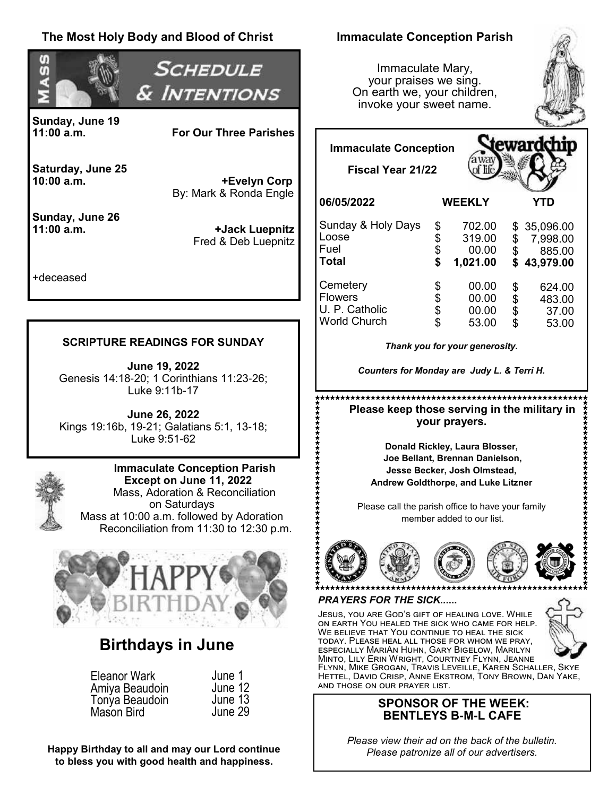#### **The Most Holy Body and Blood of Christ Immaculate Conception Parish** σ *SCHEDULE* Immaculate Mary, σ your praises we sing. & Intentions On earth we, your children, invoke your sweet name. **Sunday, June 19 For Our Three Parishes** eward **Immaculate Conception Saturday, June 25 Fiscal Year 21/22 +Evelyn Corp** By: Mark & Ronda Engle **06/05/2022 WEEKLY YTD Sunday, June 26** Sunday & Holy Days \$ 702.00<br>\$ 319.00 \$ 35,096.00<br>\$ 7.998.00 **11:00 a.m. +Jack Luepnitz** Loose  $$319.00$ <br> $$00.00$ \$ 7,998.00 Fred & Deb Luepnitz Fuel  $$ 00.00$ <br> $$ 1.021.00$ \$ 885.00 **Total \$ 1,021.00 \$ 43,979.00** +deceased Cemetery  $$ 00.00$ <br> $$ 00.00$  $$ 624.00$ <br> $$ 483.00$ Flowers  $$ 00.00$ <br> $$ 00.00$ U. P. Catholic  $$ 00.00$ <br> $$ 53.00$  $\begin{array}{cc} $ & 37.00 \\ $ & 53.00 \end{array}$ World Church \$ 53.00 **SCRIPTURE READINGS FOR SUNDAY**  *Thank you for your generosity.*  **June 19, 2022** *Counters for Monday are Judy L. & Terri H.* Genesis 14:18-20; 1 Corinthians 11:23-26; Luke 9:11b-17  **Please keep those serving in the military in June 26, 2022 your prayers.** Kings 19:16b, 19-21; Galatians 5:1, 13-18; Luke 9:51-62 **Donald Rickley, Laura Blosser, Joe Bellant, Brennan Danielson, Immaculate Conception Parish Jesse Becker, Josh Olmstead, Except on June 11, 2022 Andrew Goldthorpe, and Luke Litzner** Mass, Adoration & Reconciliation on Saturdays Please call the parish office to have your family Mass at 10:00 a.m. followed by Adoration member added to our list. Reconciliation from 11:30 to 12:30 p.m. *PRAYERS FOR THE SICK..***....** Jesus, you are God's gift of healing love. While on earth You healed the sick who came for help. WE BELIEVE THAT YOU CONTINUE TO HEAL THE SICK today. Please heal all those for whom we pray, **Birthdays in June** especially MariAn Huhn, Gary Bigelow, Marilyn Minto, Lily Erin Wright, Courtney Flynn, Jeanne Flynn, Mike Grogan, Travis Leveille, Karen Schaller, Skye Eleanor Wark June 1 Hettel, David Crisp, Anne Ekstrom, Tony Brown, Dan Yake, and those on our prayer list. June 12 Amiya Beaudoin Tonya Beaudoin June 13 **SPONSOR OF THE WEEK:** Mason Bird June 29**BENTLEYS B-M-L CAFE**

*Please view their ad on the back of the bulletin. Please patronize all of our advertisers.*

483.00

\$ 53.00

**Happy Birthday to all and may our Lord continue to bless you with good health and happiness.**